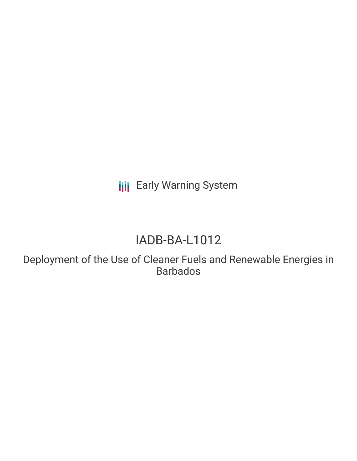**III** Early Warning System

# IADB-BA-L1012

Deployment of the Use of Cleaner Fuels and Renewable Energies in Barbados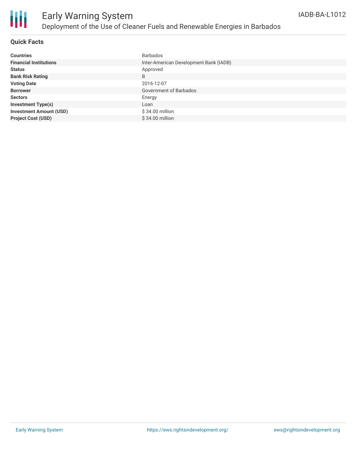

### **Quick Facts**

| <b>Countries</b>               | <b>Barbados</b>                        |
|--------------------------------|----------------------------------------|
| <b>Financial Institutions</b>  | Inter-American Development Bank (IADB) |
| <b>Status</b>                  | Approved                               |
| <b>Bank Risk Rating</b>        | B                                      |
| <b>Voting Date</b>             | 2016-12-07                             |
| <b>Borrower</b>                | Government of Barbados                 |
| <b>Sectors</b>                 | Energy                                 |
| <b>Investment Type(s)</b>      | Loan                                   |
| <b>Investment Amount (USD)</b> | $$34.00$ million                       |
| <b>Project Cost (USD)</b>      | \$34.00 million                        |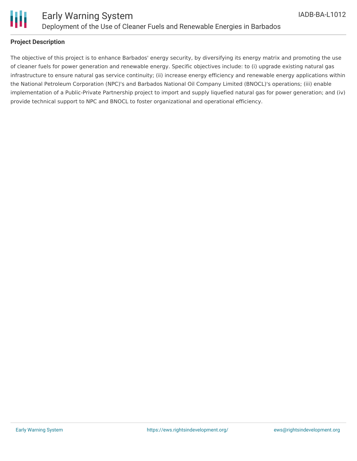

### **Project Description**

The objective of this project is to enhance Barbados' energy security, by diversifying its energy matrix and promoting the use of cleaner fuels for power generation and renewable energy. Specific objectives include: to (i) upgrade existing natural gas infrastructure to ensure natural gas service continuity; (ii) increase energy efficiency and renewable energy applications within the National Petroleum Corporation (NPC)'s and Barbados National Oil Company Limited (BNOCL)'s operations; (iii) enable implementation of a Public-Private Partnership project to import and supply liquefied natural gas for power generation; and (iv) provide technical support to NPC and BNOCL to foster organizational and operational efficiency.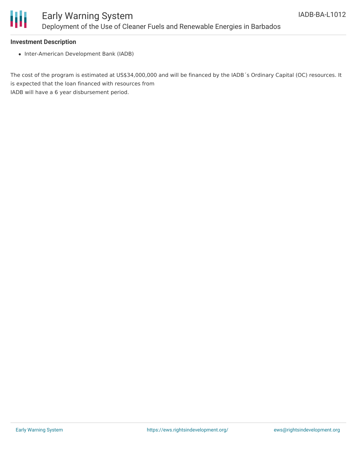

### **Investment Description**

• Inter-American Development Bank (IADB)

The cost of the program is estimated at US\$34,000,000 and will be financed by the IADB´s Ordinary Capital (OC) resources. It is expected that the loan financed with resources from IADB will have a 6 year disbursement period.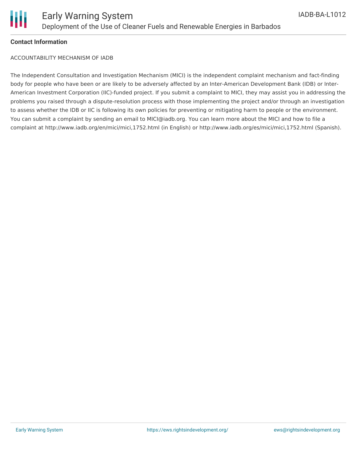

### **Contact Information**

ACCOUNTABILITY MECHANISM OF IADB

The Independent Consultation and Investigation Mechanism (MICI) is the independent complaint mechanism and fact-finding body for people who have been or are likely to be adversely affected by an Inter-American Development Bank (IDB) or Inter-American Investment Corporation (IIC)-funded project. If you submit a complaint to MICI, they may assist you in addressing the problems you raised through a dispute-resolution process with those implementing the project and/or through an investigation to assess whether the IDB or IIC is following its own policies for preventing or mitigating harm to people or the environment. You can submit a complaint by sending an email to MICI@iadb.org. You can learn more about the MICI and how to file a complaint at http://www.iadb.org/en/mici/mici,1752.html (in English) or http://www.iadb.org/es/mici/mici,1752.html (Spanish).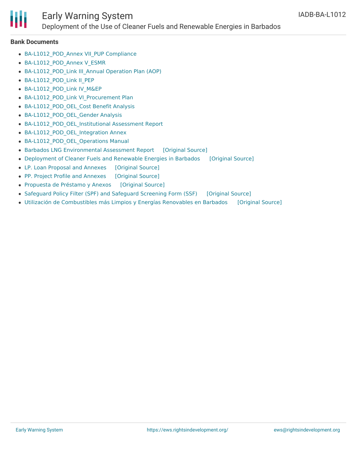

# Early Warning System

### Deployment of the Use of Cleaner Fuels and Renewable Energies in Barbados

#### **Bank Documents**

- BA-L1012 POD Annex VII PUP Compliance
- BA-L1012 POD Annex V ESMR
- BA-L1012 POD Link III Annual Operation Plan (AOP)
- [BA-L1012\\_POD\\_Link](http://www.iadb.org/Document.cfm?id=40669290) II\_PEP
- BA-L1012 POD Link IV M&EP
- BA-L1012 POD Link VI Procurement Plan
- BA-L1012 POD OEL Cost Benefit Analysis
- BA-L1012 POD OEL Gender Analysis
- [BA-L1012\\_POD\\_OEL\\_Institutional](http://www.iadb.org/Document.cfm?id=40481068) Assessment Report
- BA-L1012 POD OEL Integration Annex
- BA-L1012 POD OEL Operations Manual
- Barbados LNG [Environmental](https://ewsdata.rightsindevelopment.org/files/documents/12/IADB-BA-L1012.pdf) Assessment Report [\[Original](http://www.iadb.org/Document.cfm?id=40580934) Source]
- [Deployment](https://ewsdata.rightsindevelopment.org/files/documents/12/IADB-BA-L1012_11KSCNT.pdf) of Cleaner Fuels and Renewable Energies in Barbados [\[Original](http://idbdocs.iadb.org/wsdocs/getdocument.aspx?docnum=40697582) Source]
- LP. Loan [Proposal](https://ewsdata.rightsindevelopment.org/files/documents/12/IADB-BA-L1012_qspNHWG.pdf) and Annexes [\[Original](http://idbdocs.iadb.org/wsdocs/getdocument.aspx?docnum=40746700) Source]
- PP. Project Profile and [Annexes](https://ewsdata.rightsindevelopment.org/files/documents/12/IADB-BA-L1012_74OHYtN.pdf) [\[Original](http://www.iadb.org/Document.cfm?id=40304364) Source]
- [Propuesta](https://ewsdata.rightsindevelopment.org/files/documents/12/IADB-BA-L1012_6dfBAti.pdf) de Préstamo y Anexos [\[Original](http://idbdocs.iadb.org/wsdocs/getdocument.aspx?docnum=40756514) Source]
- [Safeguard](https://ewsdata.rightsindevelopment.org/files/documents/12/IADB-BA-L1012_Xt0Fi0h.pdf) Policy Filter (SPF) and Safeguard Screening Form (SSF) [\[Original](http://www.iadb.org/en/projects/project-description-title,1303.html?id=BA-L1012) Source]
- Utilización de [Combustibles](https://ewsdata.rightsindevelopment.org/files/documents/12/IADB-BA-L1012_gP4rCJ5.pdf) más Limpios y Energías Renovables en Barbados [\[Original](http://idbdocs.iadb.org/wsdocs/getdocument.aspx?docnum=40746154) Source]